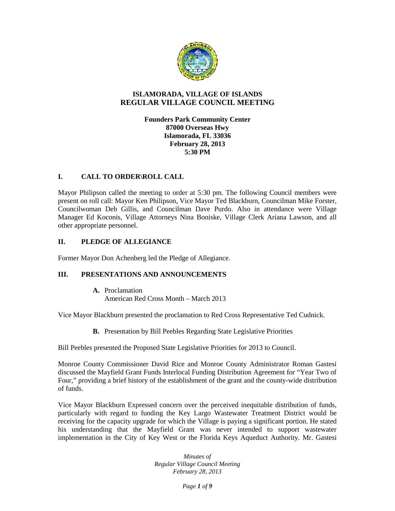

# **ISLAMORADA, VILLAGE OF ISLANDS REGULAR VILLAGE COUNCIL MEETING**

# **Founders Park Community Center 87000 Overseas Hwy Islamorada, FL 33036 February 28, 2013 5:30 PM**

## **I. CALL TO ORDER\ROLL CALL**

Mayor Philipson called the meeting to order at 5:30 pm. The following Council members were present on roll call: Mayor Ken Philipson, Vice Mayor Ted Blackburn, Councilman Mike Forster, Councilwoman Deb Gillis, and Councilman Dave Purdo. Also in attendance were Village Manager Ed Koconis, Village Attorneys Nina Boniske, Village Clerk Ariana Lawson, and all other appropriate personnel.

# **II. PLEDGE OF ALLEGIANCE**

Former Mayor Don Achenberg led the Pledge of Allegiance.

# **III. PRESENTATIONS AND ANNOUNCEMENTS**

**A.** Proclamation American Red Cross Month – March 2013

Vice Mayor Blackburn presented the proclamation to Red Cross Representative Ted Cudnick.

**B.** Presentation by Bill Peebles Regarding State Legislative Priorities

Bill Peebles presented the Proposed State Legislative Priorities for 2013 to Council.

Monroe County Commissioner David Rice and Monroe County Administrator Roman Gastesi discussed the Mayfield Grant Funds Interlocal Funding Distribution Agreement for "Year Two of Four," providing a brief history of the establishment of the grant and the county-wide distribution of funds.

Vice Mayor Blackburn Expressed concern over the perceived inequitable distribution of funds, particularly with regard to funding the Key Largo Wastewater Treatment District would be receiving for the capacity upgrade for which the Village is paying a significant portion. He stated his understanding that the Mayfield Grant was never intended to support wastewater implementation in the City of Key West or the Florida Keys Aqueduct Authority. Mr. Gastesi

> *Minutes of Regular Village Council Meeting February 28, 2013*

> > *Page 1 of 9*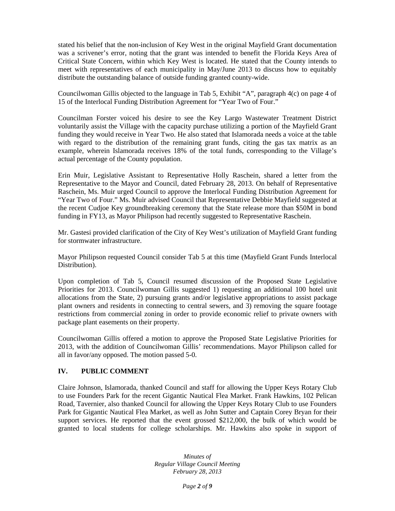stated his belief that the non-inclusion of Key West in the original Mayfield Grant documentation was a scrivener's error, noting that the grant was intended to benefit the Florida Keys Area of Critical State Concern, within which Key West is located. He stated that the County intends to meet with representatives of each municipality in May/June 2013 to discuss how to equitably distribute the outstanding balance of outside funding granted county-wide.

Councilwoman Gillis objected to the language in Tab 5, Exhibit "A", paragraph 4(c) on page 4 of 15 of the Interlocal Funding Distribution Agreement for "Year Two of Four."

Councilman Forster voiced his desire to see the Key Largo Wastewater Treatment District voluntarily assist the Village with the capacity purchase utilizing a portion of the Mayfield Grant funding they would receive in Year Two. He also stated that Islamorada needs a voice at the table with regard to the distribution of the remaining grant funds, citing the gas tax matrix as an example, wherein Islamorada receives 18% of the total funds, corresponding to the Village's actual percentage of the County population.

Erin Muir, Legislative Assistant to Representative Holly Raschein, shared a letter from the Representative to the Mayor and Council, dated February 28, 2013. On behalf of Representative Raschein, Ms. Muir urged Council to approve the Interlocal Funding Distribution Agreement for "Year Two of Four." Ms. Muir advised Council that Representative Debbie Mayfield suggested at the recent Cudjoe Key groundbreaking ceremony that the State release more than \$50M in bond funding in FY13, as Mayor Philipson had recently suggested to Representative Raschein.

Mr. Gastesi provided clarification of the City of Key West's utilization of Mayfield Grant funding for stormwater infrastructure.

Mayor Philipson requested Council consider Tab 5 at this time (Mayfield Grant Funds Interlocal Distribution).

Upon completion of Tab 5, Council resumed discussion of the Proposed State Legislative Priorities for 2013. Councilwoman Gillis suggested 1) requesting an additional 100 hotel unit allocations from the State, 2) pursuing grants and/or legislative appropriations to assist package plant owners and residents in connecting to central sewers, and 3) removing the square footage restrictions from commercial zoning in order to provide economic relief to private owners with package plant easements on their property.

Councilwoman Gillis offered a motion to approve the Proposed State Legislative Priorities for 2013, with the addition of Councilwoman Gillis' recommendations. Mayor Philipson called for all in favor/any opposed. The motion passed 5-0.

### **IV. PUBLIC COMMENT**

Claire Johnson, Islamorada, thanked Council and staff for allowing the Upper Keys Rotary Club to use Founders Park for the recent Gigantic Nautical Flea Market. Frank Hawkins, 102 Pelican Road, Tavernier, also thanked Council for allowing the Upper Keys Rotary Club to use Founders Park for Gigantic Nautical Flea Market, as well as John Sutter and Captain Corey Bryan for their support services. He reported that the event grossed \$212,000, the bulk of which would be granted to local students for college scholarships. Mr. Hawkins also spoke in support of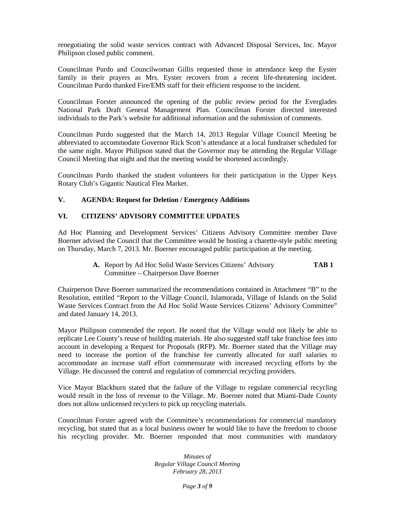renegotiating the solid waste services contract with Advanced Disposal Services, Inc. Mayor Philipson closed public comment.

Councilman Purdo and Councilwoman Gillis requested those in attendance keep the Eyster family in their prayers as Mrs. Eyster recovers from a recent life-threatening incident. Councilman Purdo thanked Fire/EMS staff for their efficient response to the incident.

Councilman Forster announced the opening of the public review period for the Everglades National Park Draft General Management Plan. Councilman Forster directed interested individuals to the Park's website for additional information and the submission of comments.

Councilman Purdo suggested that the March 14, 2013 Regular Village Council Meeting be abbreviated to accommodate Governor Rick Scott's attendance at a local fundraiser scheduled for the same night. Mayor Philipson stated that the Governor may be attending the Regular Village Council Meeting that night and that the meeting would be shortened accordingly.

Councilman Purdo thanked the student volunteers for their participation in the Upper Keys Rotary Club's Gigantic Nautical Flea Market.

## **V. AGENDA: Request for Deletion / Emergency Additions**

## **VI. CITIZENS' ADVISORY COMMITTEE UPDATES**

Ad Hoc Planning and Development Services' Citizens Advisory Committee member Dave Boerner advised the Council that the Committee would be hosting a charette-style public meeting on Thursday, March 7, 2013. Mr. Boerner encouraged public participation at the meeting.

> **A.** Report by Ad Hoc Solid Waste Services Citizens' Advisory **TAB 1** Committee – Chairperson Dave Boerner

Chairperson Dave Boerner summarized the recommendations contained in Attachment "B" to the Resolution, entitled "Report to the Village Council, Islamorada, Village of Islands on the Solid Waste Services Contract from the Ad Hoc Solid Waste Services Citizens' Advisory Committee" and dated January 14, 2013.

Mayor Philipson commended the report. He noted that the Village would not likely be able to replicate Lee County's reuse of building materials. He also suggested staff take franchise fees into account in developing a Request for Proposals (RFP). Mr. Boerner stated that the Village may need to increase the portion of the franchise fee currently allocated for staff salaries to accommodate an increase staff effort commensurate with increased recycling efforts by the Village. He discussed the control and regulation of commercial recycling providers.

Vice Mayor Blackburn stated that the failure of the Village to regulate commercial recycling would result in the loss of revenue to the Village. Mr. Boerner noted that Miami-Dade County does not allow unlicensed recyclers to pick up recycling materials.

Councilman Forster agreed with the Committee's recommendations for commercial mandatory recycling, but stated that as a local business owner he would like to have the freedom to choose his recycling provider. Mr. Boerner responded that most communities with mandatory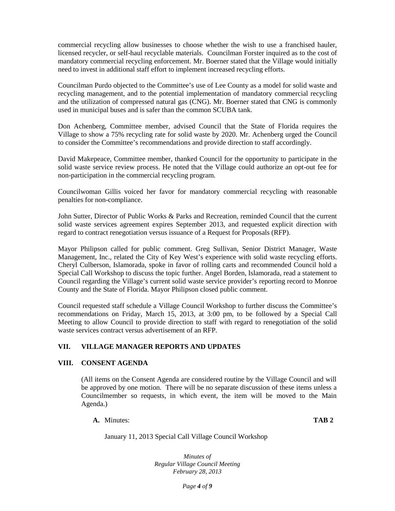commercial recycling allow businesses to choose whether the wish to use a franchised hauler, licensed recycler, or self-haul recyclable materials. Councilman Forster inquired as to the cost of mandatory commercial recycling enforcement. Mr. Boerner stated that the Village would initially need to invest in additional staff effort to implement increased recycling efforts.

Councilman Purdo objected to the Committee's use of Lee County as a model for solid waste and recycling management, and to the potential implementation of mandatory commercial recycling and the utilization of compressed natural gas (CNG). Mr. Boerner stated that CNG is commonly used in municipal buses and is safer than the common SCUBA tank.

Don Achenberg, Committee member, advised Council that the State of Florida requires the Village to show a 75% recycling rate for solid waste by 2020. Mr. Achenberg urged the Council to consider the Committee's recommendations and provide direction to staff accordingly.

David Makepeace, Committee member, thanked Council for the opportunity to participate in the solid waste service review process. He noted that the Village could authorize an opt-out fee for non-participation in the commercial recycling program.

Councilwoman Gillis voiced her favor for mandatory commercial recycling with reasonable penalties for non-compliance.

John Sutter, Director of Public Works & Parks and Recreation, reminded Council that the current solid waste services agreement expires September 2013, and requested explicit direction with regard to contract renegotiation versus issuance of a Request for Proposals (RFP).

Mayor Philipson called for public comment. Greg Sullivan, Senior District Manager, Waste Management, Inc., related the City of Key West's experience with solid waste recycling efforts. Cheryl Culberson, Islamorada, spoke in favor of rolling carts and recommended Council hold a Special Call Workshop to discuss the topic further. Angel Borden, Islamorada, read a statement to Council regarding the Village's current solid waste service provider's reporting record to Monroe County and the State of Florida. Mayor Philipson closed public comment.

Council requested staff schedule a Village Council Workshop to further discuss the Committee's recommendations on Friday, March 15, 2013, at 3:00 pm, to be followed by a Special Call Meeting to allow Council to provide direction to staff with regard to renegotiation of the solid waste services contract versus advertisement of an RFP.

# **VII. VILLAGE MANAGER REPORTS AND UPDATES**

### **VIII. CONSENT AGENDA**

(All items on the Consent Agenda are considered routine by the Village Council and will be approved by one motion. There will be no separate discussion of these items unless a Councilmember so requests, in which event, the item will be moved to the Main Agenda.)

**A.** Minutes: **TAB 2**

January 11, 2013 Special Call Village Council Workshop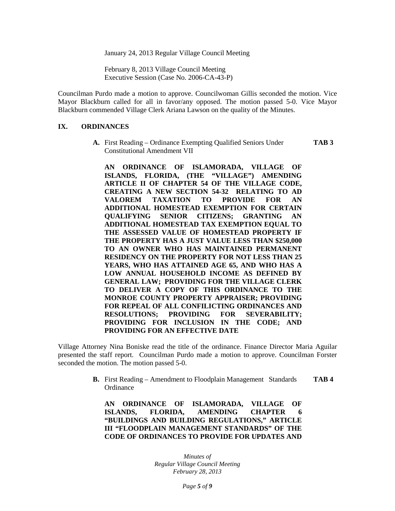January 24, 2013 Regular Village Council Meeting

February 8, 2013 Village Council Meeting Executive Session (Case No. 2006-CA-43-P)

Councilman Purdo made a motion to approve. Councilwoman Gillis seconded the motion. Vice Mayor Blackburn called for all in favor/any opposed. The motion passed 5-0. Vice Mayor Blackburn commended Village Clerk Ariana Lawson on the quality of the Minutes.

#### **IX. ORDINANCES**

**A.** First Reading – Ordinance Exempting Qualified Seniors Under **TAB 3** Constitutional Amendment VII

**AN ORDINANCE OF ISLAMORADA, VILLAGE OF ISLANDS, FLORIDA, (THE "VILLAGE") AMENDING ARTICLE II OF CHAPTER 54 OF THE VILLAGE CODE, CREATING A NEW SECTION 54-32 RELATING TO AD VALOREM TAXATION TO PROVIDE FOR AN ADDITIONAL HOMESTEAD EXEMPTION FOR CERTAIN QUALIFYING SENIOR CITIZENS; GRANTING AN ADDITIONAL HOMESTEAD TAX EXEMPTION EQUAL TO THE ASSESSED VALUE OF HOMESTEAD PROPERTY IF THE PROPERTY HAS A JUST VALUE LESS THAN \$250,000 TO AN OWNER WHO HAS MAINTAINED PERMANENT RESIDENCY ON THE PROPERTY FOR NOT LESS THAN 25 YEARS, WHO HAS ATTAINED AGE 65, AND WHO HAS A LOW ANNUAL HOUSEHOLD INCOME AS DEFINED BY GENERAL LAW; PROVIDING FOR THE VILLAGE CLERK TO DELIVER A COPY OF THIS ORDINANCE TO THE MONROE COUNTY PROPERTY APPRAISER; PROVIDING FOR REPEAL OF ALL CONFILICTING ORDINANCES AND RESOLUTIONS; PROVIDING FOR SEVERABILITY; PROVIDING FOR INCLUSION IN THE CODE; AND PROVIDING FOR AN EFFECTIVE DATE**

Village Attorney Nina Boniske read the title of the ordinance. Finance Director Maria Aguilar presented the staff report. Councilman Purdo made a motion to approve. Councilman Forster seconded the motion. The motion passed 5-0.

> **B.** First Reading – Amendment to Floodplain Management Standards **TAB 4** Ordinance

**AN ORDINANCE OF ISLAMORADA, VILLAGE OF ISLANDS, FLORIDA, AMENDING CHAPTER 6 "BUILDINGS AND BUILDING REGULATIONS," ARTICLE III "FLOODPLAIN MANAGEMENT STANDARDS" OF THE CODE OF ORDINANCES TO PROVIDE FOR UPDATES AND**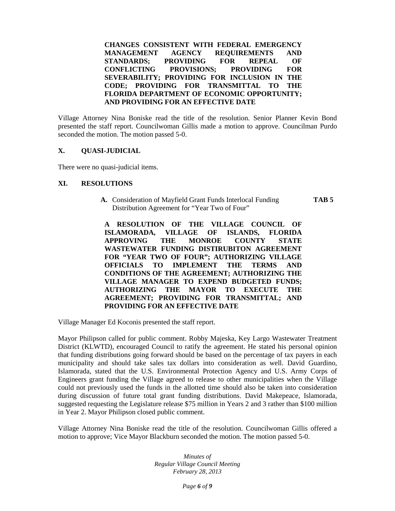**CHANGES CONSISTENT WITH FEDERAL EMERGENCY MANAGEMENT AGENCY REQUIREMENTS AND STANDARDS; PROVIDING FOR REPEAL OF CONFLICTING PROVISIONS; PROVIDING FOR SEVERABILITY; PROVIDING FOR INCLUSION IN THE CODE; PROVIDING FOR TRANSMITTAL TO THE FLORIDA DEPARTMENT OF ECONOMIC OPPORTUNITY; AND PROVIDING FOR AN EFFECTIVE DATE**

Village Attorney Nina Boniske read the title of the resolution. Senior Planner Kevin Bond presented the staff report. Councilwoman Gillis made a motion to approve. Councilman Purdo seconded the motion. The motion passed 5-0.

### **X. QUASI-JUDICIAL**

There were no quasi-judicial items.

#### **XI. RESOLUTIONS**

**A.** Consideration of Mayfield Grant Funds Interlocal Funding **TAB 5** Distribution Agreement for "Year Two of Four"

**A RESOLUTION OF THE VILLAGE COUNCIL OF ISLAMORADA, VILLAGE OF ISLANDS, FLORIDA APPROVING THE MONROE COUNTY STATE WASTEWATER FUNDING DISTIRUBITON AGREEMENT FOR "YEAR TWO OF FOUR"; AUTHORIZING VILLAGE OFFICIALS TO IMPLEMENT THE TERMS AND CONDITIONS OF THE AGREEMENT; AUTHORIZING THE VILLAGE MANAGER TO EXPEND BUDGETED FUNDS; AUTHORIZING THE MAYOR TO EXECUTE THE AGREEMENT; PROVIDING FOR TRANSMITTAL; AND PROVIDING FOR AN EFFECTIVE DATE**

Village Manager Ed Koconis presented the staff report.

Mayor Philipson called for public comment. Robby Majeska, Key Largo Wastewater Treatment District (KLWTD), encouraged Council to ratify the agreement. He stated his personal opinion that funding distributions going forward should be based on the percentage of tax payers in each municipality and should take sales tax dollars into consideration as well. David Guardino, Islamorada, stated that the U.S. Environmental Protection Agency and U.S. Army Corps of Engineers grant funding the Village agreed to release to other municipalities when the Village could not previously used the funds in the allotted time should also be taken into consideration during discussion of future total grant funding distributions. David Makepeace, Islamorada, suggested requesting the Legislature release \$75 million in Years 2 and 3 rather than \$100 million in Year 2. Mayor Philipson closed public comment.

Village Attorney Nina Boniske read the title of the resolution. Councilwoman Gillis offered a motion to approve; Vice Mayor Blackburn seconded the motion. The motion passed 5-0.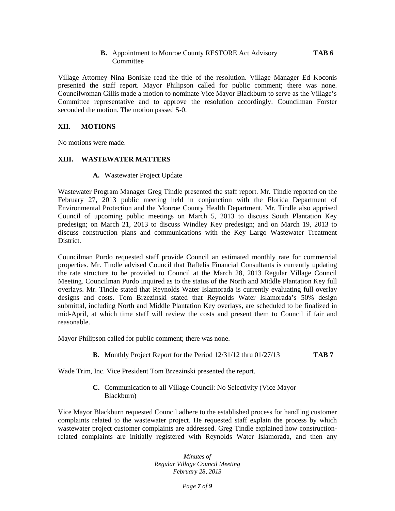### **B.** Appointment to Monroe County RESTORE Act Advisory **TAB 6 Committee**

Village Attorney Nina Boniske read the title of the resolution. Village Manager Ed Koconis presented the staff report. Mayor Philipson called for public comment; there was none. Councilwoman Gillis made a motion to nominate Vice Mayor Blackburn to serve as the Village's Committee representative and to approve the resolution accordingly. Councilman Forster seconded the motion. The motion passed 5-0.

#### **XII. MOTIONS**

No motions were made.

#### **XIII. WASTEWATER MATTERS**

**A.** Wastewater Project Update

Wastewater Program Manager Greg Tindle presented the staff report. Mr. Tindle reported on the February 27, 2013 public meeting held in conjunction with the Florida Department of Environmental Protection and the Monroe County Health Department. Mr. Tindle also apprised Council of upcoming public meetings on March 5, 2013 to discuss South Plantation Key predesign; on March 21, 2013 to discuss Windley Key predesign; and on March 19, 2013 to discuss construction plans and communications with the Key Largo Wastewater Treatment District.

Councilman Purdo requested staff provide Council an estimated monthly rate for commercial properties. Mr. Tindle advised Council that Raftelis Financial Consultants is currently updating the rate structure to be provided to Council at the March 28, 2013 Regular Village Council Meeting. Councilman Purdo inquired as to the status of the North and Middle Plantation Key full overlays. Mr. Tindle stated that Reynolds Water Islamorada is currently evaluating full overlay designs and costs. Tom Brzezinski stated that Reynolds Water Islamorada's 50% design submittal, including North and Middle Plantation Key overlays, are scheduled to be finalized in mid-April, at which time staff will review the costs and present them to Council if fair and reasonable.

Mayor Philipson called for public comment; there was none.

**B.** Monthly Project Report for the Period 12/31/12 thru 01/27/13 **TAB 7**

Wade Trim, Inc. Vice President Tom Brzezinski presented the report.

**C.** Communication to all Village Council: No Selectivity (Vice Mayor Blackburn)

Vice Mayor Blackburn requested Council adhere to the established process for handling customer complaints related to the wastewater project. He requested staff explain the process by which wastewater project customer complaints are addressed. Greg Tindle explained how constructionrelated complaints are initially registered with Reynolds Water Islamorada, and then any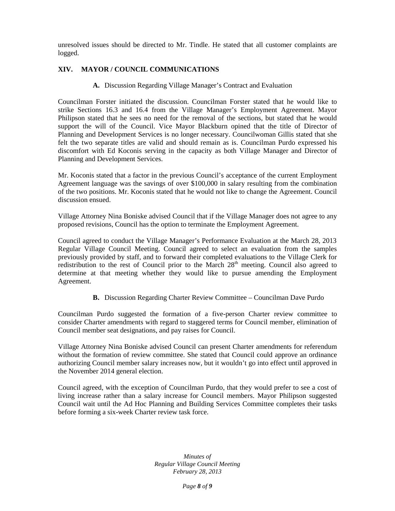unresolved issues should be directed to Mr. Tindle. He stated that all customer complaints are logged.

# **XIV. MAYOR / COUNCIL COMMUNICATIONS**

**A.** Discussion Regarding Village Manager's Contract and Evaluation

Councilman Forster initiated the discussion. Councilman Forster stated that he would like to strike Sections 16.3 and 16.4 from the Village Manager's Employment Agreement. Mayor Philipson stated that he sees no need for the removal of the sections, but stated that he would support the will of the Council. Vice Mayor Blackburn opined that the title of Director of Planning and Development Services is no longer necessary. Councilwoman Gillis stated that she felt the two separate titles are valid and should remain as is. Councilman Purdo expressed his discomfort with Ed Koconis serving in the capacity as both Village Manager and Director of Planning and Development Services.

Mr. Koconis stated that a factor in the previous Council's acceptance of the current Employment Agreement language was the savings of over \$100,000 in salary resulting from the combination of the two positions. Mr. Koconis stated that he would not like to change the Agreement. Council discussion ensued.

Village Attorney Nina Boniske advised Council that if the Village Manager does not agree to any proposed revisions, Council has the option to terminate the Employment Agreement.

Council agreed to conduct the Village Manager's Performance Evaluation at the March 28, 2013 Regular Village Council Meeting. Council agreed to select an evaluation from the samples previously provided by staff, and to forward their completed evaluations to the Village Clerk for redistribution to the rest of Council prior to the March  $28<sup>th</sup>$  meeting. Council also agreed to determine at that meeting whether they would like to pursue amending the Employment Agreement.

**B.** Discussion Regarding Charter Review Committee – Councilman Dave Purdo

Councilman Purdo suggested the formation of a five-person Charter review committee to consider Charter amendments with regard to staggered terms for Council member, elimination of Council member seat designations, and pay raises for Council.

Village Attorney Nina Boniske advised Council can present Charter amendments for referendum without the formation of review committee. She stated that Council could approve an ordinance authorizing Council member salary increases now, but it wouldn't go into effect until approved in the November 2014 general election.

Council agreed, with the exception of Councilman Purdo, that they would prefer to see a cost of living increase rather than a salary increase for Council members. Mayor Philipson suggested Council wait until the Ad Hoc Planning and Building Services Committee completes their tasks before forming a six-week Charter review task force.